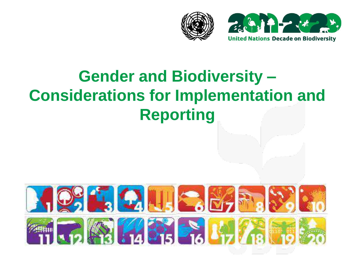



# **Gender and Biodiversity – Considerations for Implementation and Reporting**

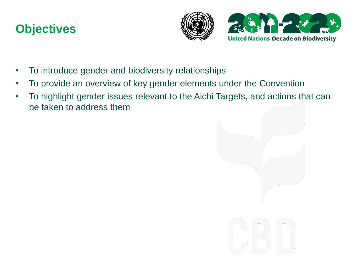### **Objectives**





- To introduce gender and biodiversity relationships
- To provide an overview of key gender elements under the Convention
- To highlight gender issues relevant to the Aichi Targets, and actions that can be taken to address them

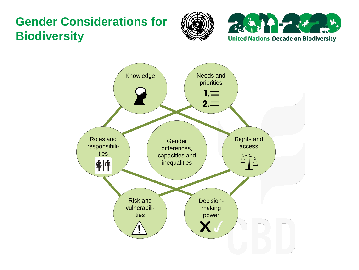### **Gender Considerations for Biodiversity**





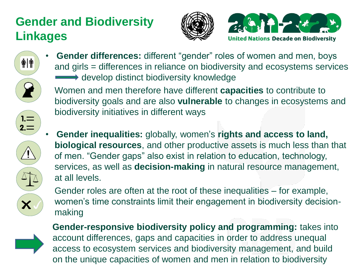# **Gender and Biodiversity Linkages**







• **Gender differences:** different "gender" roles of women and men, boys and girls = differences in reliance on biodiversity and ecosystems services develop distinct biodiversity knowledge

Women and men therefore have different **capacities** to contribute to biodiversity goals and are also **vulnerable** to changes in ecosystems and biodiversity initiatives in different ways



• **Gender inequalities:** globally, women's **rights and access to land, biological resources**, and other productive assets is much less than that of men. "Gender gaps" also exist in relation to education, technology, services, as well as **decision-making** in natural resource management, at all levels.

Gender roles are often at the root of these inequalities – for example, women's time constraints limit their engagement in biodiversity decisionmaking



**Gender-responsive biodiversity policy and programming:** takes into account differences, gaps and capacities in order to address unequal access to ecosystem services and biodiversity management, and build on the unique capacities of women and men in relation to biodiversity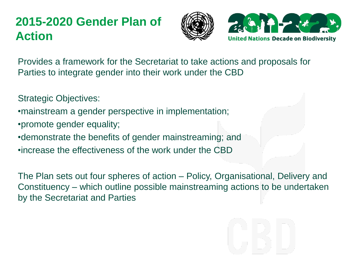### **2015-2020 Gender Plan of Action**





Provides a framework for the Secretariat to take actions and proposals for Parties to integrate gender into their work under the CBD

Strategic Objectives:

- •mainstream a gender perspective in implementation;
- •promote gender equality;
- •demonstrate the benefits of gender mainstreaming; and
- •increase the effectiveness of the work under the CBD

The Plan sets out four spheres of action – Policy, Organisational, Delivery and Constituency – which outline possible mainstreaming actions to be undertaken by the Secretariat and Parties

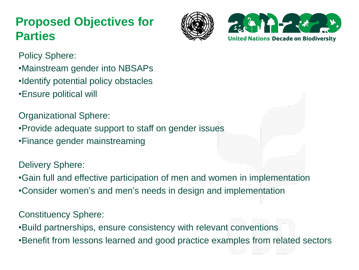### **Proposed Objectives for Parties**





Policy Sphere:

- •Mainstream gender into NBSAPs
- •Identify potential policy obstacles
- •Ensure political will

Organizational Sphere:

- •Provide adequate support to staff on gender issues
- •Finance gender mainstreaming

Delivery Sphere:

•Gain full and effective participation of men and women in implementation

•Consider women's and men's needs in design and implementation

Constituency Sphere:

•Build partnerships, ensure consistency with relevant conventions

•Benefit from lessons learned and good practice examples from related sectors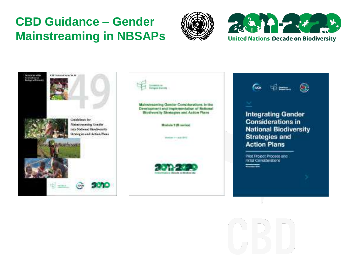### **CBD Guidance – Gender Mainstreaming in NBSAPs**





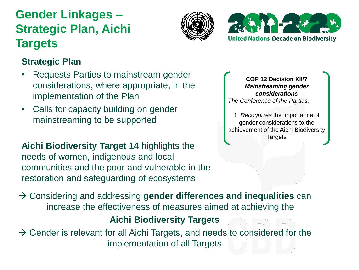# **Gender Linkages – Strategic Plan, Aichi Targets**





### **Strategic Plan**

- Requests Parties to mainstream gender considerations, where appropriate, in the implementation of the Plan
- Calls for capacity building on gender mainstreaming to be supported

**Aichi Biodiversity Target 14** highlights the needs of women, indigenous and local communities and the poor and vulnerable in the restoration and safeguarding of ecosystems

**COP 12 Decision XII/7** *Mainstreaming gender considerations The Conference of the Parties,*

1. *Recognizes* the importance of gender considerations to the achievement of the Aichi Biodiversity **Targets** 

 Considering and addressing **gender differences and inequalities** can increase the effectiveness of measures aimed at achieving the

### **Aichi Biodiversity Targets**

 $\rightarrow$  Gender is relevant for all Aichi Targets, and needs to considered for the implementation of all Targets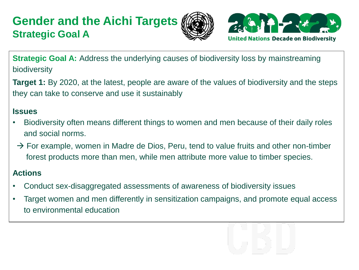### **Gender and the Aichi Targets Strategic Goal A**





**Strategic Goal A:** Address the underlying causes of biodiversity loss by mainstreaming biodiversity

**Target 1:** By 2020, at the latest, people are aware of the values of biodiversity and the steps they can take to conserve and use it sustainably

#### **Issues**

- Biodiversity often means different things to women and men because of their daily roles and social norms.
- $\rightarrow$  For example, women in Madre de Dios, Peru, tend to value fruits and other non-timber forest products more than men, while men attribute more value to timber species.

- Conduct sex-disaggregated assessments of awareness of biodiversity issues
- Target women and men differently in sensitization campaigns, and promote equal access to environmental education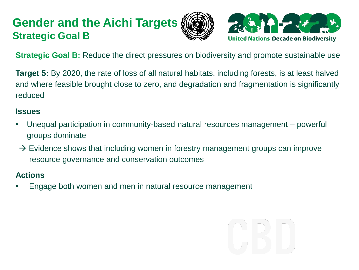### **Gender and the Aichi Targets Strategic Goal B**





**Strategic Goal B:** Reduce the direct pressures on biodiversity and promote sustainable use

**Target 5:** By 2020, the rate of loss of all natural habitats, including forests, is at least halved and where feasible brought close to zero, and degradation and fragmentation is significantly reduced

#### **Issues**

- Unequal participation in community-based natural resources management powerful groups dominate
- $\rightarrow$  Evidence shows that including women in forestry management groups can improve resource governance and conservation outcomes

#### **Actions**

• Engage both women and men in natural resource management

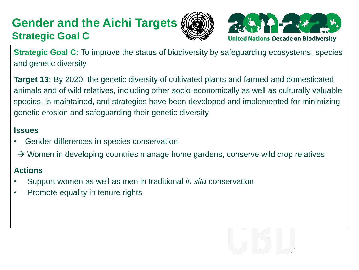### **Gender and the Aichi Targets Strategic Goal C**





**Strategic Goal C:** To improve the status of biodiversity by safeguarding ecosystems, species and genetic diversity

**Target 13:** By 2020, the genetic diversity of cultivated plants and farmed and domesticated animals and of wild relatives, including other socio-economically as well as culturally valuable species, is maintained, and strategies have been developed and implemented for minimizing genetic erosion and safeguarding their genetic diversity

#### **Issues**

- Gender differences in species conservation
- $\rightarrow$  Women in developing countries manage home gardens, conserve wild crop relatives

- Support women as well as men in traditional *in situ* conservation
- Promote equality in tenure rights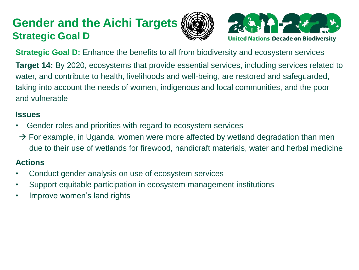### **Gender and the Aichi Targets Strategic Goal D**





**Strategic Goal D:** Enhance the benefits to all from biodiversity and ecosystem services **Target 14:** By 2020, ecosystems that provide essential services, including services related to water, and contribute to health, livelihoods and well-being, are restored and safeguarded, taking into account the needs of women, indigenous and local communities, and the poor and vulnerable

#### **Issues**

- Gender roles and priorities with regard to ecosystem services
- $\rightarrow$  For example, in Uganda, women were more affected by wetland degradation than men due to their use of wetlands for firewood, handicraft materials, water and herbal medicine

- Conduct gender analysis on use of ecosystem services
- Support equitable participation in ecosystem management institutions
- Improve women's land rights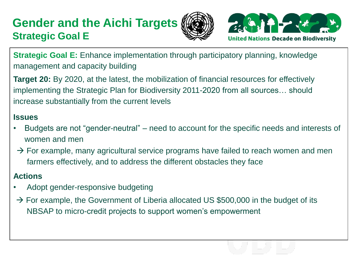### **Gender and the Aichi Targets Strategic Goal E**





**Strategic Goal E:** Enhance implementation through participatory planning, knowledge management and capacity building

**Target 20:** By 2020, at the latest, the mobilization of financial resources for effectively implementing the Strategic Plan for Biodiversity 2011-2020 from all sources… should increase substantially from the current levels

#### **Issues**

- Budgets are not "gender-neutral" need to account for the specific needs and interests of women and men
- $\rightarrow$  For example, many agricultural service programs have failed to reach women and men farmers effectively, and to address the different obstacles they face

- Adopt gender-responsive budgeting
- $\rightarrow$  For example, the Government of Liberia allocated US \$500,000 in the budget of its NBSAP to micro-credit projects to support women's empowerment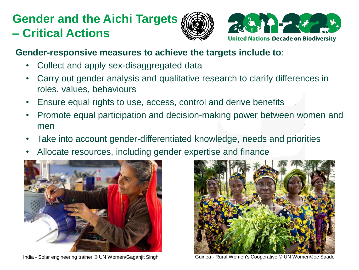# **Gender and the Aichi Targets – Critical Actions**





### **Gender-responsive measures to achieve the targets include to**:

- Collect and apply sex-disaggregated data
- Carry out gender analysis and qualitative research to clarify differences in roles, values, behaviours
- Ensure equal rights to use, access, control and derive benefits
- Promote equal participation and decision-making power between women and men
- Take into account gender-differentiated knowledge, needs and priorities
- Allocate resources, including gender expertise and finance





India - Solar engineering trainer © UN Women/Gaganjit Singh Guinea - Rural Women's Cooperative © UN Women/Joe Saade